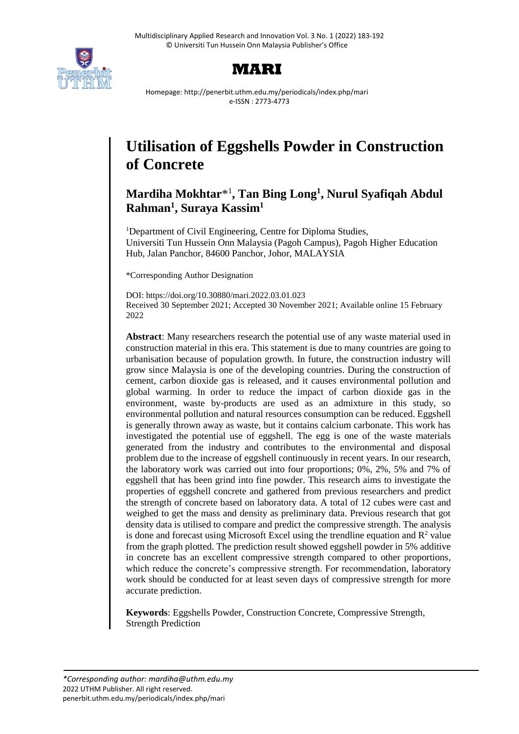



Homepage: http://penerbit.uthm.edu.my/periodicals/index.php/mari e-ISSN : 2773-4773

# **Utilisation of Eggshells Powder in Construction of Concrete**

# **Mardiha Mokhtar**\* 1 **, Tan Bing Long<sup>1</sup> , Nurul Syafiqah Abdul Rahman<sup>1</sup> , Suraya Kassim<sup>1</sup>**

<sup>1</sup>Department of Civil Engineering, Centre for Diploma Studies, Universiti Tun Hussein Onn Malaysia (Pagoh Campus), Pagoh Higher Education Hub, Jalan Panchor, 84600 Panchor, Johor, MALAYSIA

\*Corresponding Author Designation

DOI: https://doi.org/10.30880/mari.2022.03.01.023 Received 30 September 2021; Accepted 30 November 2021; Available online 15 February 2022

**Abstract**: Many researchers research the potential use of any waste material used in construction material in this era. This statement is due to many countries are going to urbanisation because of population growth. In future, the construction industry will grow since Malaysia is one of the developing countries. During the construction of cement, carbon dioxide gas is released, and it causes environmental pollution and global warming. In order to reduce the impact of carbon dioxide gas in the environment, waste by-products are used as an admixture in this study, so environmental pollution and natural resources consumption can be reduced. Eggshell is generally thrown away as waste, but it contains calcium carbonate. This work has investigated the potential use of eggshell. The egg is one of the waste materials generated from the industry and contributes to the environmental and disposal problem due to the increase of eggshell continuously in recent years. In our research, the laboratory work was carried out into four proportions; 0%, 2%, 5% and 7% of eggshell that has been grind into fine powder. This research aims to investigate the properties of eggshell concrete and gathered from previous researchers and predict the strength of concrete based on laboratory data. A total of 12 cubes were cast and weighed to get the mass and density as preliminary data. Previous research that got density data is utilised to compare and predict the compressive strength. The analysis is done and forecast using Microsoft Excel using the trendline equation and  $\mathbb{R}^2$  value from the graph plotted. The prediction result showed eggshell powder in 5% additive in concrete has an excellent compressive strength compared to other proportions, which reduce the concrete's compressive strength. For recommendation, laboratory work should be conducted for at least seven days of compressive strength for more accurate prediction.

**Keywords**: Eggshells Powder, Construction Concrete, Compressive Strength, Strength Prediction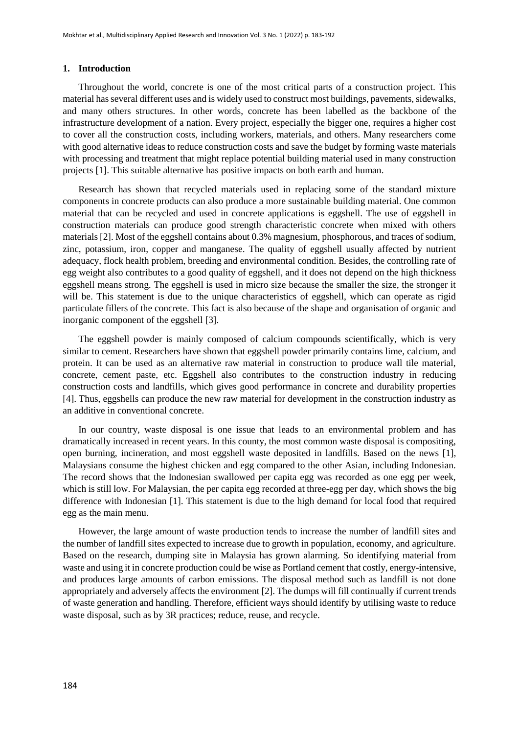#### **1. Introduction**

Throughout the world, concrete is one of the most critical parts of a construction project. This material has several different uses and is widely used to construct most buildings, pavements, sidewalks, and many others structures. In other words, concrete has been labelled as the backbone of the infrastructure development of a nation. Every project, especially the bigger one, requires a higher cost to cover all the construction costs, including workers, materials, and others. Many researchers come with good alternative ideas to reduce construction costs and save the budget by forming waste materials with processing and treatment that might replace potential building material used in many construction projects [1]. This suitable alternative has positive impacts on both earth and human.

Research has shown that recycled materials used in replacing some of the standard mixture components in concrete products can also produce a more sustainable building material. One common material that can be recycled and used in concrete applications is eggshell. The use of eggshell in construction materials can produce good strength characteristic concrete when mixed with others materials [2]. Most of the eggshell contains about 0.3% magnesium, phosphorous, and traces of sodium, zinc, potassium, iron, copper and manganese. The quality of eggshell usually affected by nutrient adequacy, flock health problem, breeding and environmental condition. Besides, the controlling rate of egg weight also contributes to a good quality of eggshell, and it does not depend on the high thickness eggshell means strong. The eggshell is used in micro size because the smaller the size, the stronger it will be. This statement is due to the unique characteristics of eggshell, which can operate as rigid particulate fillers of the concrete. This fact is also because of the shape and organisation of organic and inorganic component of the eggshell [3].

The eggshell powder is mainly composed of calcium compounds scientifically, which is very similar to cement. Researchers have shown that eggshell powder primarily contains lime, calcium, and protein. It can be used as an alternative raw material in construction to produce wall tile material, concrete, cement paste, etc. Eggshell also contributes to the construction industry in reducing construction costs and landfills, which gives good performance in concrete and durability properties [4]. Thus, eggshells can produce the new raw material for development in the construction industry as an additive in conventional concrete.

In our country, waste disposal is one issue that leads to an environmental problem and has dramatically increased in recent years. In this county, the most common waste disposal is compositing, open burning, incineration, and most eggshell waste deposited in landfills. Based on the news [1], Malaysians consume the highest chicken and egg compared to the other Asian, including Indonesian. The record shows that the Indonesian swallowed per capita egg was recorded as one egg per week, which is still low. For Malaysian, the per capita egg recorded at three-egg per day, which shows the big difference with Indonesian [1]. This statement is due to the high demand for local food that required egg as the main menu.

However, the large amount of waste production tends to increase the number of landfill sites and the number of landfill sites expected to increase due to growth in population, economy, and agriculture. Based on the research, dumping site in Malaysia has grown alarming. So identifying material from waste and using it in concrete production could be wise as Portland cement that costly, energy-intensive, and produces large amounts of carbon emissions. The disposal method such as landfill is not done appropriately and adversely affects the environment [2]. The dumps will fill continually if current trends of waste generation and handling. Therefore, efficient ways should identify by utilising waste to reduce waste disposal, such as by 3R practices; reduce, reuse, and recycle.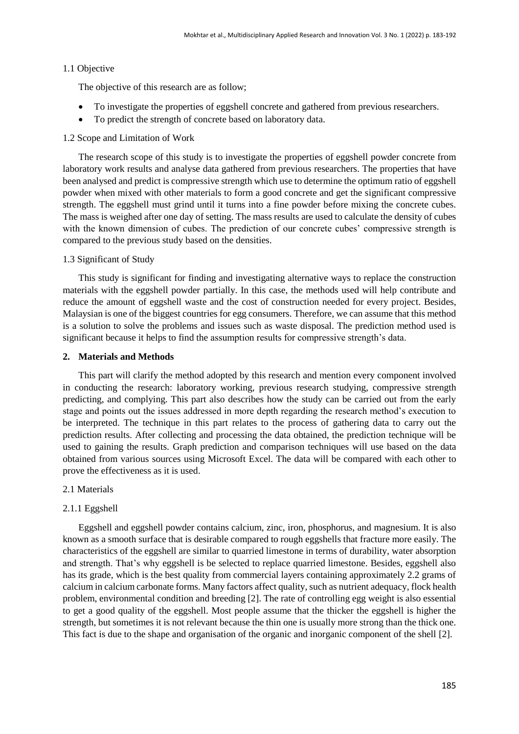### 1.1 Objective

The objective of this research are as follow;

- To investigate the properties of eggshell concrete and gathered from previous researchers.
- To predict the strength of concrete based on laboratory data.

# 1.2 Scope and Limitation of Work

The research scope of this study is to investigate the properties of eggshell powder concrete from laboratory work results and analyse data gathered from previous researchers. The properties that have been analysed and predict is compressive strength which use to determine the optimum ratio of eggshell powder when mixed with other materials to form a good concrete and get the significant compressive strength. The eggshell must grind until it turns into a fine powder before mixing the concrete cubes. The mass is weighed after one day of setting. The mass results are used to calculate the density of cubes with the known dimension of cubes. The prediction of our concrete cubes' compressive strength is compared to the previous study based on the densities.

#### 1.3 Significant of Study

This study is significant for finding and investigating alternative ways to replace the construction materials with the eggshell powder partially. In this case, the methods used will help contribute and reduce the amount of eggshell waste and the cost of construction needed for every project. Besides, Malaysian is one of the biggest countries for egg consumers. Therefore, we can assume that this method is a solution to solve the problems and issues such as waste disposal. The prediction method used is significant because it helps to find the assumption results for compressive strength's data.

#### **2. Materials and Methods**

This part will clarify the method adopted by this research and mention every component involved in conducting the research: laboratory working, previous research studying, compressive strength predicting, and complying. This part also describes how the study can be carried out from the early stage and points out the issues addressed in more depth regarding the research method's execution to be interpreted. The technique in this part relates to the process of gathering data to carry out the prediction results. After collecting and processing the data obtained, the prediction technique will be used to gaining the results. Graph prediction and comparison techniques will use based on the data obtained from various sources using Microsoft Excel. The data will be compared with each other to prove the effectiveness as it is used.

## 2.1 Materials

# 2.1.1 Eggshell

Eggshell and eggshell powder contains calcium, zinc, iron, phosphorus, and magnesium. It is also known as a smooth surface that is desirable compared to rough eggshells that fracture more easily. The characteristics of the eggshell are similar to quarried limestone in terms of durability, water absorption and strength. That's why eggshell is be selected to replace quarried limestone. Besides, eggshell also has its grade, which is the best quality from commercial layers containing approximately 2.2 grams of calcium in calcium carbonate forms. Many factors affect quality, such as nutrient adequacy, flock health problem, environmental condition and breeding [2]. The rate of controlling egg weight is also essential to get a good quality of the eggshell. Most people assume that the thicker the eggshell is higher the strength, but sometimes it is not relevant because the thin one is usually more strong than the thick one. This fact is due to the shape and organisation of the organic and inorganic component of the shell [2].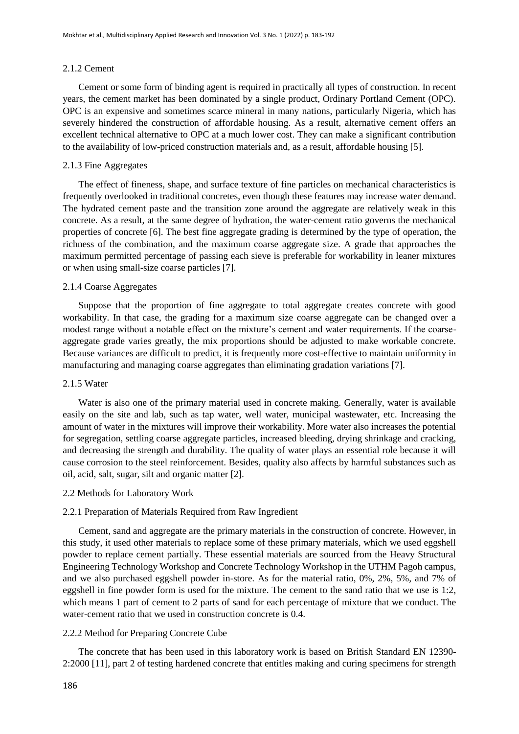#### 2.1.2 Cement

Cement or some form of binding agent is required in practically all types of construction. In recent years, the cement market has been dominated by a single product, Ordinary Portland Cement (OPC). OPC is an expensive and sometimes scarce mineral in many nations, particularly Nigeria, which has severely hindered the construction of affordable housing. As a result, alternative cement offers an excellent technical alternative to OPC at a much lower cost. They can make a significant contribution to the availability of low-priced construction materials and, as a result, affordable housing [5].

### 2.1.3 Fine Aggregates

The effect of fineness, shape, and surface texture of fine particles on mechanical characteristics is frequently overlooked in traditional concretes, even though these features may increase water demand. The hydrated cement paste and the transition zone around the aggregate are relatively weak in this concrete. As a result, at the same degree of hydration, the water-cement ratio governs the mechanical properties of concrete [6]. The best fine aggregate grading is determined by the type of operation, the richness of the combination, and the maximum coarse aggregate size. A grade that approaches the maximum permitted percentage of passing each sieve is preferable for workability in leaner mixtures or when using small-size coarse particles [7].

#### 2.1.4 Coarse Aggregates

Suppose that the proportion of fine aggregate to total aggregate creates concrete with good workability. In that case, the grading for a maximum size coarse aggregate can be changed over a modest range without a notable effect on the mixture's cement and water requirements. If the coarseaggregate grade varies greatly, the mix proportions should be adjusted to make workable concrete. Because variances are difficult to predict, it is frequently more cost-effective to maintain uniformity in manufacturing and managing coarse aggregates than eliminating gradation variations [7].

#### 2.1.5 Water

Water is also one of the primary material used in concrete making. Generally, water is available easily on the site and lab, such as tap water, well water, municipal wastewater, etc. Increasing the amount of water in the mixtures will improve their workability. More water also increases the potential for segregation, settling coarse aggregate particles, increased bleeding, drying shrinkage and cracking, and decreasing the strength and durability. The quality of water plays an essential role because it will cause corrosion to the steel reinforcement. Besides, quality also affects by harmful substances such as oil, acid, salt, sugar, silt and organic matter [2].

#### 2.2 Methods for Laboratory Work

#### 2.2.1 Preparation of Materials Required from Raw Ingredient

Cement, sand and aggregate are the primary materials in the construction of concrete. However, in this study, it used other materials to replace some of these primary materials, which we used eggshell powder to replace cement partially. These essential materials are sourced from the Heavy Structural Engineering Technology Workshop and Concrete Technology Workshop in the UTHM Pagoh campus, and we also purchased eggshell powder in-store. As for the material ratio, 0%, 2%, 5%, and 7% of eggshell in fine powder form is used for the mixture. The cement to the sand ratio that we use is 1:2, which means 1 part of cement to 2 parts of sand for each percentage of mixture that we conduct. The water-cement ratio that we used in construction concrete is 0.4.

#### 2.2.2 Method for Preparing Concrete Cube

The concrete that has been used in this laboratory work is based on British Standard EN 12390- 2:2000 [11], part 2 of testing hardened concrete that entitles making and curing specimens for strength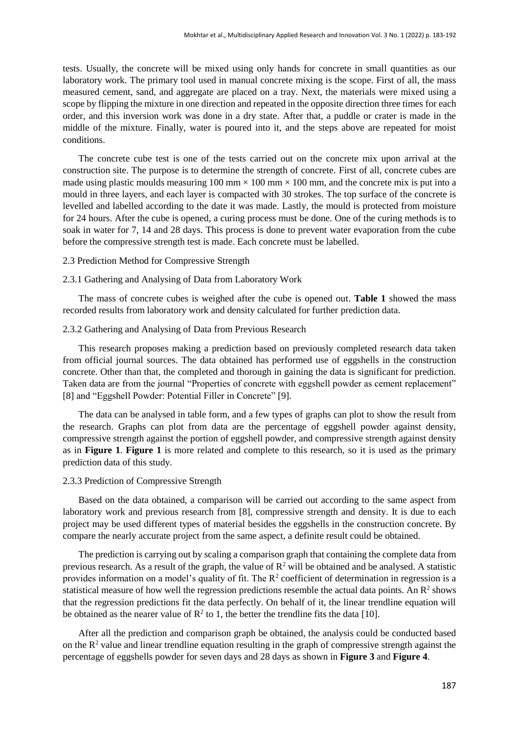tests. Usually, the concrete will be mixed using only hands for concrete in small quantities as our laboratory work. The primary tool used in manual concrete mixing is the scope. First of all, the mass measured cement, sand, and aggregate are placed on a tray. Next, the materials were mixed using a scope by flipping the mixture in one direction and repeated in the opposite direction three times for each order, and this inversion work was done in a dry state. After that, a puddle or crater is made in the middle of the mixture. Finally, water is poured into it, and the steps above are repeated for moist conditions.

The concrete cube test is one of the tests carried out on the concrete mix upon arrival at the construction site. The purpose is to determine the strength of concrete. First of all, concrete cubes are made using plastic moulds measuring 100 mm  $\times$  100 mm  $\times$  100 mm, and the concrete mix is put into a mould in three layers, and each layer is compacted with 30 strokes. The top surface of the concrete is levelled and labelled according to the date it was made. Lastly, the mould is protected from moisture for 24 hours. After the cube is opened, a curing process must be done. One of the curing methods is to soak in water for 7, 14 and 28 days. This process is done to prevent water evaporation from the cube before the compressive strength test is made. Each concrete must be labelled.

2.3 Prediction Method for Compressive Strength

# 2.3.1 Gathering and Analysing of Data from Laboratory Work

The mass of concrete cubes is weighed after the cube is opened out. **Table 1** showed the mass recorded results from laboratory work and density calculated for further prediction data.

#### 2.3.2 Gathering and Analysing of Data from Previous Research

This research proposes making a prediction based on previously completed research data taken from official journal sources. The data obtained has performed use of eggshells in the construction concrete. Other than that, the completed and thorough in gaining the data is significant for prediction. Taken data are from the journal "Properties of concrete with eggshell powder as cement replacement" [8] and "Eggshell Powder: Potential Filler in Concrete" [9].

The data can be analysed in table form, and a few types of graphs can plot to show the result from the research. Graphs can plot from data are the percentage of eggshell powder against density, compressive strength against the portion of eggshell powder, and compressive strength against density as in **Figure 1**. **Figure 1** is more related and complete to this research, so it is used as the primary prediction data of this study.

#### 2.3.3 Prediction of Compressive Strength

Based on the data obtained, a comparison will be carried out according to the same aspect from laboratory work and previous research from [8], compressive strength and density. It is due to each project may be used different types of material besides the eggshells in the construction concrete. By compare the nearly accurate project from the same aspect, a definite result could be obtained.

The prediction is carrying out by scaling a comparison graph that containing the complete data from previous research. As a result of the graph, the value of  $\mathbb{R}^2$  will be obtained and be analysed. A statistic provides information on a model's quality of fit. The  $R^2$  coefficient of determination in regression is a statistical measure of how well the regression predictions resemble the actual data points. An  $\mathbb{R}^2$  shows that the regression predictions fit the data perfectly. On behalf of it, the linear trendline equation will be obtained as the nearer value of  $\mathbb{R}^2$  to 1, the better the trendline fits the data [10].

After all the prediction and comparison graph be obtained, the analysis could be conducted based on the  $R<sup>2</sup>$  value and linear trendline equation resulting in the graph of compressive strength against the percentage of eggshells powder for seven days and 28 days as shown in **Figure 3** and **Figure 4**.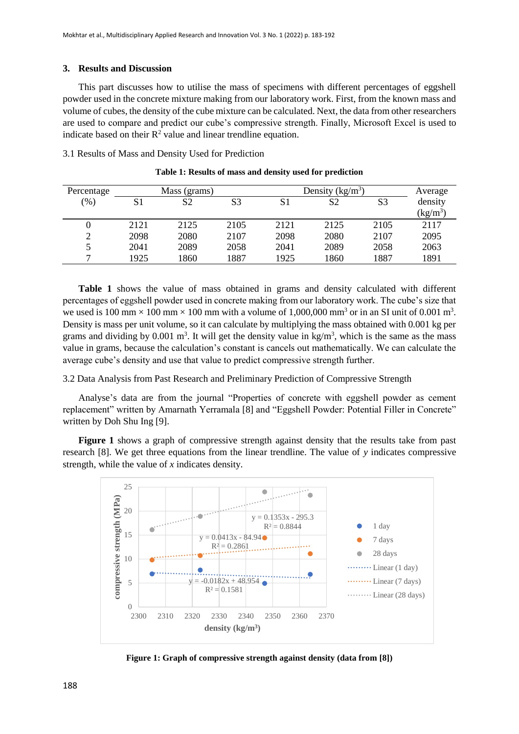# **3. Results and Discussion**

This part discusses how to utilise the mass of specimens with different percentages of eggshell powder used in the concrete mixture making from our laboratory work. First, from the known mass and volume of cubes, the density of the cube mixture can be calculated. Next, the data from other researchers are used to compare and predict our cube's compressive strength. Finally, Microsoft Excel is used to indicate based on their  $R^2$  value and linear trendline equation.

3.1 Results of Mass and Density Used for Prediction

| Percentage     | Mass (grams) |      |      | Density $(kg/m^3)$ |      |                | Average           |
|----------------|--------------|------|------|--------------------|------|----------------|-------------------|
| $(\%)$         | S1           | S2   | S3   | S1                 | S2   | S <sub>3</sub> | density           |
|                |              |      |      |                    |      |                | $(\text{kg/m}^3)$ |
|                | 2121         | 2125 | 2105 | 2121               | 2125 | 2105           | 2117              |
| $\gamma$       | 2098         | 2080 | 2107 | 2098               | 2080 | 2107           | 2095              |
| 5              | 2041         | 2089 | 2058 | 2041               | 2089 | 2058           | 2063              |
| $\overline{ }$ | 1925         | 1860 | 1887 | 1925               | 1860 | 1887           | 1891              |

**Table 1: Results of mass and density used for prediction**

**Table 1** shows the value of mass obtained in grams and density calculated with different percentages of eggshell powder used in concrete making from our laboratory work. The cube's size that we used is 100 mm  $\times$  100 mm  $\times$  100 mm with a volume of 1,000,000 mm<sup>3</sup> or in an SI unit of 0.001 m<sup>3</sup>. Density is mass per unit volume, so it can calculate by multiplying the mass obtained with 0.001 kg per grams and dividing by  $0.001 \text{ m}^3$ . It will get the density value in kg/m<sup>3</sup>, which is the same as the mass value in grams, because the calculation's constant is cancels out mathematically. We can calculate the average cube's density and use that value to predict compressive strength further.

3.2 Data Analysis from Past Research and Preliminary Prediction of Compressive Strength

Analyse's data are from the journal "Properties of concrete with eggshell powder as cement replacement" written by Amarnath Yerramala [8] and "Eggshell Powder: Potential Filler in Concrete" written by Doh Shu Ing [9].

**Figure 1** shows a graph of compressive strength against density that the results take from past research [8]. We get three equations from the linear trendline. The value of *y* indicates compressive strength, while the value of *x* indicates density.



**Figure 1: Graph of compressive strength against density (data from [8])**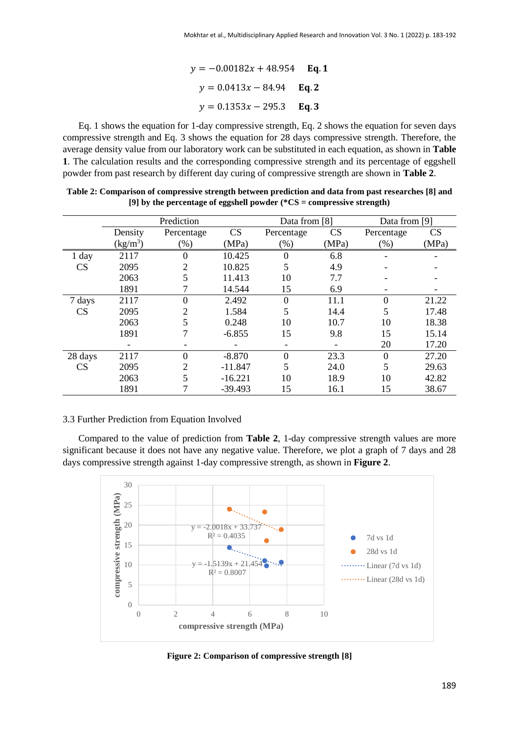$y = -0.00182x + 48.954$  Eq. 1  $y = 0.0413x - 84.94$  **Eq. 2**  $y = 0.1353x - 295.3$  Eq. 3

Eq. 1 shows the equation for 1-day compressive strength, Eq. 2 shows the equation for seven days compressive strength and Eq. 3 shows the equation for 28 days compressive strength. Therefore, the average density value from our laboratory work can be substituted in each equation, as shown in **Table 1**. The calculation results and the corresponding compressive strength and its percentage of eggshell powder from past research by different day curing of compressive strength are shown in **Table 2**.

|         | Prediction |                  |           | Data from [8]    |       | Data from [9] |       |
|---------|------------|------------------|-----------|------------------|-------|---------------|-------|
|         | Density    | Percentage       | CS        | Percentage       | CS    | Percentage    | CS    |
|         | $(kg/m^3)$ | $(\%)$           | (MPa)     | $(\%)$           | (MPa) | (% )          | (MPa) |
| 1 day   | 2117       | 0                | 10.425    | $\boldsymbol{0}$ | 6.8   |               |       |
| CS      | 2095       | 2                | 10.825    | 5                | 4.9   |               |       |
|         | 2063       |                  | 11.413    | 10               | 7.7   |               |       |
|         | 1891       |                  | 14.544    | 15               | 6.9   |               |       |
| 7 days  | 2117       | $\boldsymbol{0}$ | 2.492     | $\mathbf{0}$     | 11.1  | $\theta$      | 21.22 |
| CS      | 2095       | 2                | 1.584     | 5                | 14.4  | 5             | 17.48 |
|         | 2063       |                  | 0.248     | 10               | 10.7  | 10            | 18.38 |
|         | 1891       |                  | $-6.855$  | 15               | 9.8   | 15            | 15.14 |
|         |            |                  |           |                  |       | 20            | 17.20 |
| 28 days | 2117       | $\Omega$         | $-8.870$  | $\overline{0}$   | 23.3  | $\Omega$      | 27.20 |
| CS      | 2095       | 2                | $-11.847$ | 5                | 24.0  | 5             | 29.63 |
|         | 2063       |                  | $-16.221$ | 10               | 18.9  | 10            | 42.82 |
|         | 1891       |                  | $-39.493$ | 15               | 16.1  | 15            | 38.67 |

**Table 2: Comparison of compressive strength between prediction and data from past researches [8] and [9] by the percentage of eggshell powder (\*CS = compressive strength)**

#### 3.3 Further Prediction from Equation Involved

Compared to the value of prediction from **Table 2**, 1-day compressive strength values are more significant because it does not have any negative value. Therefore, we plot a graph of 7 days and 28 days compressive strength against 1-day compressive strength, as shown in **Figure 2**.



**Figure 2: Comparison of compressive strength [8]**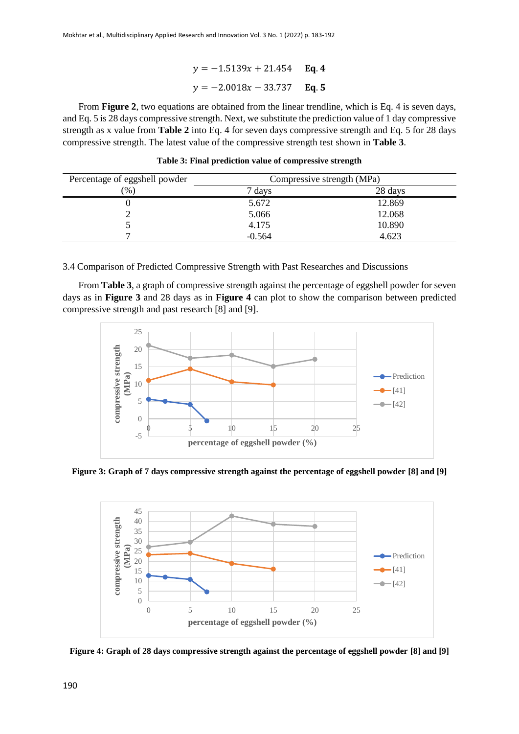# $y = -1.5139x + 21.454$  Eq. 4  $y = -2.0018x - 33.737$  Eq. 5

From **Figure 2**, two equations are obtained from the linear trendline, which is Eq. 4 is seven days, and Eq. 5 is 28 days compressive strength. Next, we substitute the prediction value of 1 day compressive strength as x value from **Table 2** into Eq. 4 for seven days compressive strength and Eq. 5 for 28 days compressive strength. The latest value of the compressive strength test shown in **Table 3**.

| Percentage of eggshell powder | Compressive strength (MPa) |         |  |  |
|-------------------------------|----------------------------|---------|--|--|
| $\%$                          | days                       | 28 days |  |  |
|                               | 5.672                      | 12.869  |  |  |
|                               | 5.066                      | 12.068  |  |  |
|                               | 4.175                      | 10.890  |  |  |
|                               | $-0.564$                   | 4.623   |  |  |

**Table 3: Final prediction value of compressive strength**

3.4 Comparison of Predicted Compressive Strength with Past Researches and Discussions

From **Table 3**, a graph of compressive strength against the percentage of eggshell powder for seven days as in **Figure 3** and 28 days as in **Figure 4** can plot to show the comparison between predicted compressive strength and past research [8] and [9].



**Figure 3: Graph of 7 days compressive strength against the percentage of eggshell powder [8] and [9]**



**Figure 4: Graph of 28 days compressive strength against the percentage of eggshell powder [8] and [9]**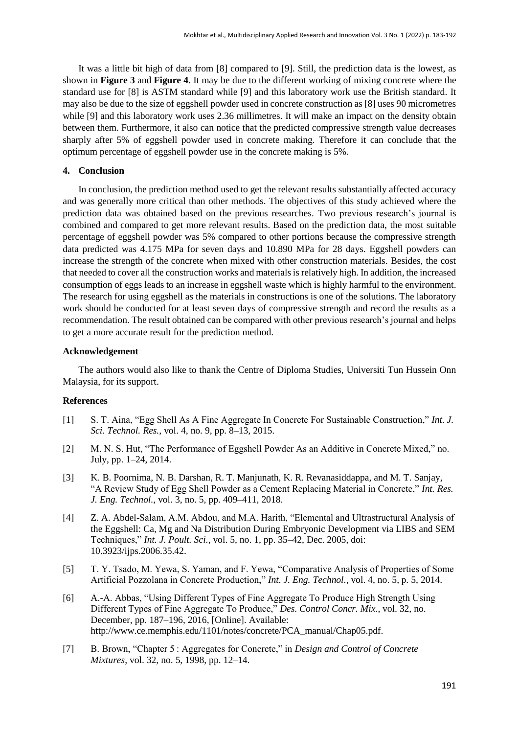It was a little bit high of data from [8] compared to [9]. Still, the prediction data is the lowest, as shown in **Figure 3** and **Figure 4**. It may be due to the different working of mixing concrete where the standard use for [8] is ASTM standard while [9] and this laboratory work use the British standard. It may also be due to the size of eggshell powder used in concrete construction as [8] uses 90 micrometres while [9] and this laboratory work uses 2.36 millimetres. It will make an impact on the density obtain between them. Furthermore, it also can notice that the predicted compressive strength value decreases sharply after 5% of eggshell powder used in concrete making. Therefore it can conclude that the optimum percentage of eggshell powder use in the concrete making is 5%.

#### **4. Conclusion**

In conclusion, the prediction method used to get the relevant results substantially affected accuracy and was generally more critical than other methods. The objectives of this study achieved where the prediction data was obtained based on the previous researches. Two previous research's journal is combined and compared to get more relevant results. Based on the prediction data, the most suitable percentage of eggshell powder was 5% compared to other portions because the compressive strength data predicted was 4.175 MPa for seven days and 10.890 MPa for 28 days. Eggshell powders can increase the strength of the concrete when mixed with other construction materials. Besides, the cost that needed to cover all the construction works and materials is relatively high. In addition, the increased consumption of eggs leads to an increase in eggshell waste which is highly harmful to the environment. The research for using eggshell as the materials in constructions is one of the solutions. The laboratory work should be conducted for at least seven days of compressive strength and record the results as a recommendation. The result obtained can be compared with other previous research's journal and helps to get a more accurate result for the prediction method.

### **Acknowledgement**

The authors would also like to thank the Centre of Diploma Studies, Universiti Tun Hussein Onn Malaysia, for its support.

# **References**

- [1] S. T. Aina, "Egg Shell As A Fine Aggregate In Concrete For Sustainable Construction," *Int. J. Sci. Technol. Res.*, vol. 4, no. 9, pp. 8–13, 2015.
- [2] M. N. S. Hut, "The Performance of Eggshell Powder As an Additive in Concrete Mixed," no. July, pp. 1–24, 2014.
- [3] K. B. Poornima, N. B. Darshan, R. T. Manjunath, K. R. Revanasiddappa, and M. T. Sanjay, "A Review Study of Egg Shell Powder as a Cement Replacing Material in Concrete," *Int. Res. J. Eng. Technol.*, vol. 3, no. 5, pp. 409–411, 2018.
- [4] Z. A. Abdel-Salam, A.M. Abdou, and M.A. Harith, "Elemental and Ultrastructural Analysis of the Eggshell: Ca, Mg and Na Distribution During Embryonic Development via LIBS and SEM Techniques," *Int. J. Poult. Sci.*, vol. 5, no. 1, pp. 35–42, Dec. 2005, doi: 10.3923/ijps.2006.35.42.
- [5] T. Y. Tsado, M. Yewa, S. Yaman, and F. Yewa, "Comparative Analysis of Properties of Some Artificial Pozzolana in Concrete Production," *Int. J. Eng. Technol.*, vol. 4, no. 5, p. 5, 2014.
- [6] A.-A. Abbas, "Using Different Types of Fine Aggregate To Produce High Strength Using Different Types of Fine Aggregate To Produce," *Des. Control Concr. Mix.*, vol. 32, no. December, pp. 187–196, 2016, [Online]. Available: http://www.ce.memphis.edu/1101/notes/concrete/PCA\_manual/Chap05.pdf.
- [7] B. Brown, "Chapter 5 : Aggregates for Concrete," in *Design and Control of Concrete Mixtures*, vol. 32, no. 5, 1998, pp. 12–14.